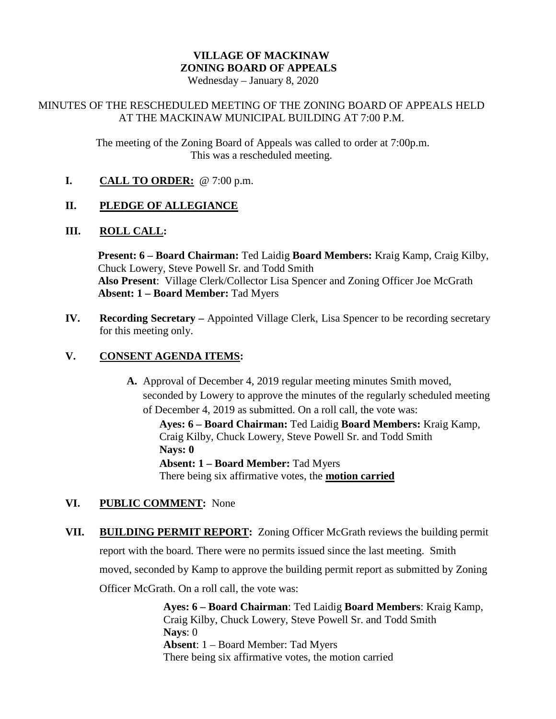# **VILLAGE OF MACKINAW ZONING BOARD OF APPEALS**

Wednesday – January 8, 2020

## MINUTES OF THE RESCHEDULED MEETING OF THE ZONING BOARD OF APPEALS HELD AT THE MACKINAW MUNICIPAL BUILDING AT 7:00 P.M.

The meeting of the Zoning Board of Appeals was called to order at 7:00p.m. This was a rescheduled meeting.

**I. CALL TO ORDER:** @ 7:00 p.m.

# **II. PLEDGE OF ALLEGIANCE**

## **III. ROLL CALL:**

**Present: 6 – Board Chairman:** Ted Laidig **Board Members:** Kraig Kamp, Craig Kilby, Chuck Lowery, Steve Powell Sr. and Todd Smith **Also Present**: Village Clerk/Collector Lisa Spencer and Zoning Officer Joe McGrath **Absent: 1 – Board Member:** Tad Myers

**IV. Recording Secretary –** Appointed Village Clerk, Lisa Spencer to be recording secretary for this meeting only.

# **V. CONSENT AGENDA ITEMS:**

**A.** Approval of December 4, 2019 regular meeting minutes Smith moved, seconded by Lowery to approve the minutes of the regularly scheduled meeting of December 4, 2019 as submitted. On a roll call, the vote was:

**Ayes: 6 – Board Chairman:** Ted Laidig **Board Members:** Kraig Kamp, Craig Kilby, Chuck Lowery, Steve Powell Sr. and Todd Smith **Nays: 0 Absent: 1 – Board Member:** Tad Myers There being six affirmative votes, the **motion carried**

# **VI. PUBLIC COMMENT:** None

**VII. BUILDING PERMIT REPORT:** Zoning Officer McGrath reviews the building permit report with the board. There were no permits issued since the last meeting. Smith moved, seconded by Kamp to approve the building permit report as submitted by Zoning Officer McGrath. On a roll call, the vote was:

> **Ayes: 6 – Board Chairman**: Ted Laidig **Board Members**: Kraig Kamp, Craig Kilby, Chuck Lowery, Steve Powell Sr. and Todd Smith **Nays**: 0 **Absent**: 1 – Board Member: Tad Myers There being six affirmative votes, the motion carried